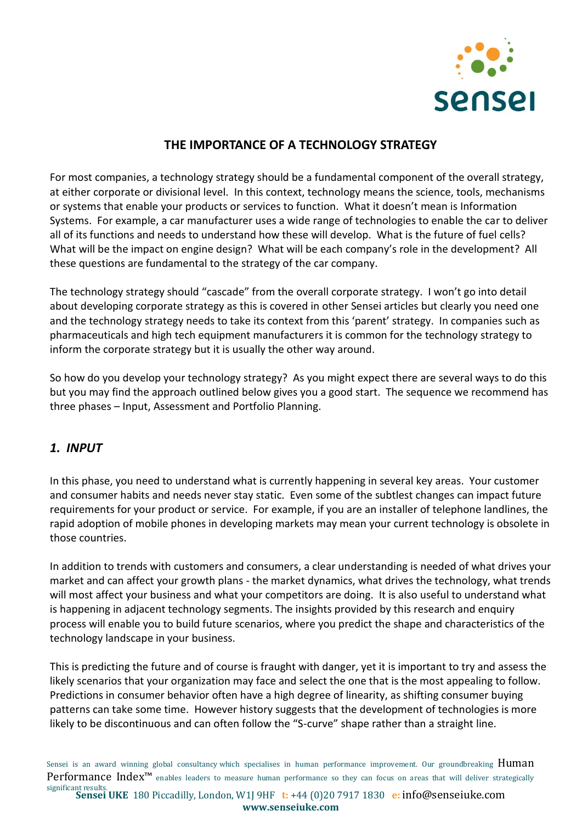

## **THE IMPORTANCE OF A TECHNOLOGY STRATEGY**

For most companies, a technology strategy should be a fundamental component of the overall strategy, at either corporate or divisional level. In this context, technology means the science, tools, mechanisms or systems that enable your products or services to function. What it doesn't mean is Information Systems. For example, a car manufacturer uses a wide range of technologies to enable the car to deliver all of its functions and needs to understand how these will develop. What is the future of fuel cells? What will be the impact on engine design? What will be each company's role in the development? All these questions are fundamental to the strategy of the car company.

The technology strategy should "cascade" from the overall corporate strategy. I won't go into detail about developing corporate strategy as this is covered in other Sensei articles but clearly you need one and the technology strategy needs to take its context from this 'parent' strategy. In companies such as pharmaceuticals and high tech equipment manufacturers it is common for the technology strategy to inform the corporate strategy but it is usually the other way around.

So how do you develop your technology strategy? As you might expect there are several ways to do this but you may find the approach outlined below gives you a good start. The sequence we recommend has three phases – Input, Assessment and Portfolio Planning.

## *1. INPUT*

In this phase, you need to understand what is currently happening in several key areas. Your customer and consumer habits and needs never stay static. Even some of the subtlest changes can impact future requirements for your product or service. For example, if you are an installer of telephone landlines, the rapid adoption of mobile phones in developing markets may mean your current technology is obsolete in those countries.

In addition to trends with customers and consumers, a clear understanding is needed of what drives your market and can affect your growth plans - the market dynamics, what drives the technology, what trends will most affect your business and what your competitors are doing. It is also useful to understand what is happening in adjacent technology segments. The insights provided by this research and enquiry process will enable you to build future scenarios, where you predict the shape and characteristics of the technology landscape in your business.

This is predicting the future and of course is fraught with danger, yet it is important to try and assess the likely scenarios that your organization may face and select the one that is the most appealing to follow. Predictions in consumer behavior often have a high degree of linearity, as shifting consumer buying patterns can take some time. However history suggests that the development of technologies is more likely to be discontinuous and can often follow the "S-curve" shape rather than a straight line.

Sensei is an award winning global consultancy which specialises in human performance improvement. Our groundbreaking **Human** Performance Index<sup>™</sup> enables leaders to measure human performance so they can focus on areas that will deliver strategically

**Sensei UKE** 180 Piccadilly, London, W1J 9HF **t:** +44 (0)20 7917 1830 **e:** [info@senseiuke.com](mailto:info@senseiuke.com) significant results. **www.senseiuke.com**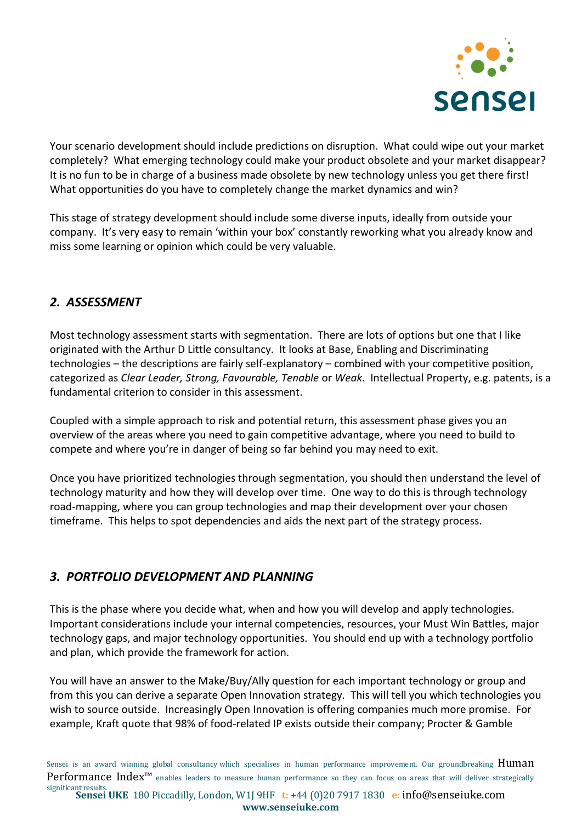

Your scenario development should include predictions on disruption. What could wipe out your market completely? What emerging technology could make your product obsolete and your market disappear? It is no fun to be in charge of a business made obsolete by new technology unless you get there first! What opportunities do you have to completely change the market dynamics and win?

This stage of strategy development should include some diverse inputs, ideally from outside your company. It's very easy to remain 'within your box' constantly reworking what you already know and miss some learning or opinion which could be very valuable.

## *2. ASSESSMENT*

Most technology assessment starts with segmentation. There are lots of options but one that I like originated with the Arthur D Little consultancy. It looks at Base, Enabling and Discriminating technologies – the descriptions are fairly self-explanatory – combined with your competitive position, categorized as *Clear Leader, Strong, Favourable, Tenable* or *Weak*. Intellectual Property, e.g. patents, is a fundamental criterion to consider in this assessment.

Coupled with a simple approach to risk and potential return, this assessment phase gives you an overview of the areas where you need to gain competitive advantage, where you need to build to compete and where you're in danger of being so far behind you may need to exit.

Once you have prioritized technologies through segmentation, you should then understand the level of technology maturity and how they will develop over time. One way to do this is through technology road-mapping, where you can group technologies and map their development over your chosen timeframe. This helps to spot dependencies and aids the next part of the strategy process.

## *3. PORTFOLIO DEVELOPMENT AND PLANNING*

This is the phase where you decide what, when and how you will develop and apply technologies. Important considerations include your internal competencies, resources, your Must Win Battles, major technology gaps, and major technology opportunities. You should end up with a technology portfolio and plan, which provide the framework for action.

You will have an answer to the Make/Buy/Ally question for each important technology or group and from this you can derive a separate Open Innovation strategy. This will tell you which technologies you wish to source outside. Increasingly Open Innovation is offering companies much more promise. For example, Kraft quote that 98% of food-related IP exists outside their company; Procter & Gamble

Sensei is an award winning global consultancy which specialises in human performance improvement. Our groundbreaking Human Performance Index<sup>™</sup> enables leaders to measure human performance so they can focus on areas that will deliver strategically

**Sensei UKE** 180 Piccadilly, London, W1J 9HF **t:** +44 (0)20 7917 1830 **e:** [info@senseiuke.com](mailto:info@senseiuke.com) significant results. **www.senseiuke.com**